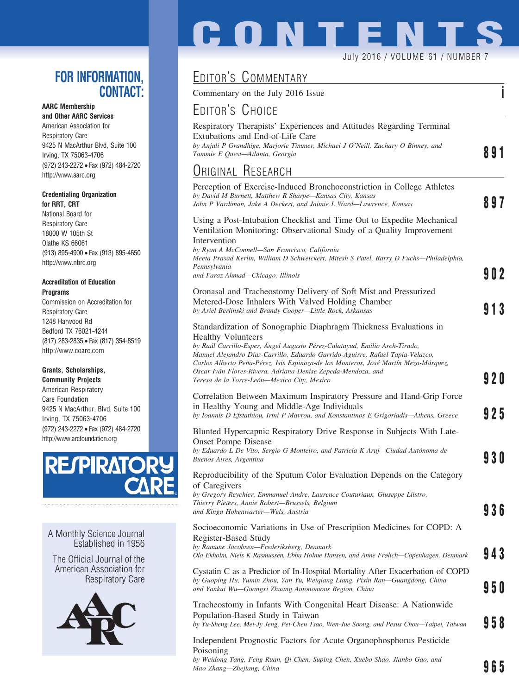## **FOR INFORMATION, CONTACT:**

### **AARC Membership**

**and Other AARC Services** American Association for Respiratory Care 9425 N MacArthur Blvd, Suite 100 Irving, TX 75063-4706 (972) 243-2272 • Fax (972) 484-2720 http://www.aarc.org

#### **Credentialing Organization for RRT, CRT**

National Board for Respiratory Care 18000 W 105th St Olathe KS 66061 (913) 895-4900 • Fax (913) 895-4650 http://www.nbrc.org

#### **Accreditation of Education Programs**

Commission on Accreditation for Respiratory Care 1248 Harwood Rd Bedford TX 76021-4244 (817) 283-2835 • Fax (817) 354-8519 http://www.coarc.com

### **Grants, Scholarships,**

**Community Projects** American Respiratory Care Foundation 9425 N MacArthur, Blvd, Suite 100 Irving, TX 75063-4706 (972) 243-2272 • Fax (972) 484-2720 http://www.arcfoundation.org



A Monthly Science Journal Established in 1956

The Official Journal of the American Association for Respiratory Care



# **CONTENTS** July 2016 / VOLUME 61 / NUMBER 7

# EDITOR'S COMMENTARY

Commentary on the July 2016 Issue **i**

## EDITOR'S CHOICE

| EDITORS UHOICE                                                                                                                                                                                                                                                                                                                                                                                                        |       |
|-----------------------------------------------------------------------------------------------------------------------------------------------------------------------------------------------------------------------------------------------------------------------------------------------------------------------------------------------------------------------------------------------------------------------|-------|
| Respiratory Therapists' Experiences and Attitudes Regarding Terminal<br>Extubations and End-of-Life Care<br>by Anjali P Grandhige, Marjorie Timmer, Michael J O'Neill, Zachary O Binney, and<br>Tammie E Quest-Atlanta, Georgia                                                                                                                                                                                       | 891   |
| <b>URIGINAL RESEARCH</b>                                                                                                                                                                                                                                                                                                                                                                                              |       |
| Perception of Exercise-Induced Bronchoconstriction in College Athletes<br>by David M Burnett, Matthew R Sharpe—Kansas City, Kansas<br>John P Vardiman, Jake A Deckert, and Jaimie L Ward—Lawrence, Kansas                                                                                                                                                                                                             | 897   |
| Using a Post-Intubation Checklist and Time Out to Expedite Mechanical<br>Ventilation Monitoring: Observational Study of a Quality Improvement<br>Intervention<br>by Ryan A McConnell—San Francisco, California<br>Meeta Prasad Kerlin, William D Schweickert, Mitesh S Patel, Barry D Fuchs—Philadelphia,<br>Pennsylvania                                                                                             |       |
| and Faraz Ahmad—Chicago, Illinois                                                                                                                                                                                                                                                                                                                                                                                     | 902   |
| Oronasal and Tracheostomy Delivery of Soft Mist and Pressurized<br>Metered-Dose Inhalers With Valved Holding Chamber<br>by Ariel Berlinski and Brandy Cooper-Little Rock, Arkansas                                                                                                                                                                                                                                    | 913   |
| Standardization of Sonographic Diaphragm Thickness Evaluations in<br><b>Healthy Volunteers</b><br>by Raúl Carrillo-Esper, Angel Augusto Pérez-Calatayud, Emilio Arch-Tirado,<br>Manuel Alejandro Díaz-Carrillo, Eduardo Garrido-Aguirre, Rafael Tapia-Velazco,<br>Carlos Alberto Peña-Pérez, Isis Espinoza-de los Monteros, José Martín Meza-Márquez,<br>Oscar Iván Flores-Rivera, Adriana Denise Zepeda-Mendoza, and | 9 2 O |
| Teresa de la Torre-León—Mexico City, Mexico<br>Correlation Between Maximum Inspiratory Pressure and Hand-Grip Force<br>in Healthy Young and Middle-Age Individuals<br>by Ioannis D Efstathiou, Irini P Mavrou, and Konstantinos E Grigoriadis-Athens, Greece                                                                                                                                                          | 925   |
| Blunted Hypercapnic Respiratory Drive Response in Subjects With Late-                                                                                                                                                                                                                                                                                                                                                 |       |
| <b>Onset Pompe Disease</b><br>by Eduardo L De Vito, Sergio G Monteiro, and Patricia K Aruj—Ciudad Autónoma de<br>Buenos Aires, Argentina                                                                                                                                                                                                                                                                              | 93 O  |
| Reproducibility of the Sputum Color Evaluation Depends on the Category<br>of Caregivers<br>by Gregory Reychler, Emmanuel Andre, Laurence Couturiaux, Giuseppe Liistro,<br>Thierry Pieters, Annie Robert-Brussels, Belgium<br>and Kinga Hohenwarter—Wels, Austria                                                                                                                                                      | 936   |
| Socioeconomic Variations in Use of Prescription Medicines for COPD: A<br>Register-Based Study<br>by Ramune Jacobsen-Frederiksberg, Denmark<br>Ola Ekholm, Niels K Rasmussen, Ebba Holme Hansen, and Anne Frølich—Copenhagen, Denmark                                                                                                                                                                                  | 943   |
| Cystatin C as a Predictor of In-Hospital Mortality After Exacerbation of COPD<br>by Guoping Hu, Yumin Zhou, Yan Yu, Weiqiang Liang, Pixin Ran—Guangdong, China<br>and Yankui Wu-Guangxi Zhuang Autonomous Region, China                                                                                                                                                                                               | 95 O  |
| Tracheostomy in Infants With Congenital Heart Disease: A Nationwide<br>Population-Based Study in Taiwan<br>by Yu-Sheng Lee, Mei-Jy Jeng, Pei-Chen Tsao, Wen-Jue Soong, and Pesus Chou-Taipei, Taiwan                                                                                                                                                                                                                  | 958   |
| Independent Prognostic Factors for Acute Organophosphorus Pesticide<br>Poisoning                                                                                                                                                                                                                                                                                                                                      |       |

*by Weidong Tang, Feng Ruan, Qi Chen, Suping Chen, Xuebo Shao, Jianbo Gao, and Mao Zhang—Zhejiang, China* **965**